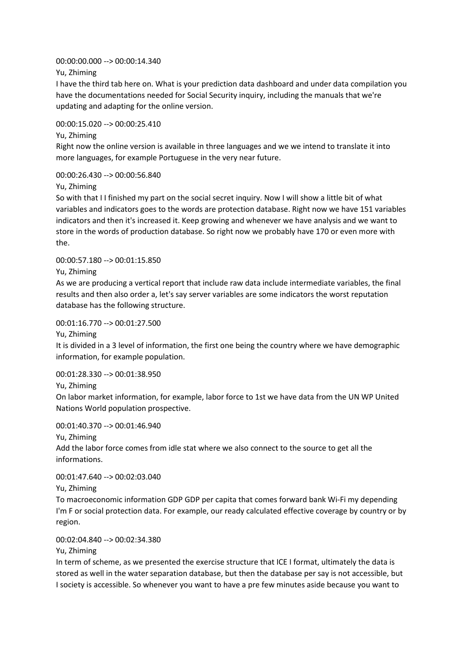## 00:00:00.000 --> 00:00:14.340

Yu, Zhiming

I have the third tab here on. What is your prediction data dashboard and under data compilation you have the documentations needed for Social Security inquiry, including the manuals that we're updating and adapting for the online version.

## 00:00:15.020 --> 00:00:25.410

Yu, Zhiming

Right now the online version is available in three languages and we we intend to translate it into more languages, for example Portuguese in the very near future.

# 00:00:26.430 --> 00:00:56.840

Yu, Zhiming

So with that I I finished my part on the social secret inquiry. Now I will show a little bit of what variables and indicators goes to the words are protection database. Right now we have 151 variables indicators and then it's increased it. Keep growing and whenever we have analysis and we want to store in the words of production database. So right now we probably have 170 or even more with the.

# 00:00:57.180 --> 00:01:15.850

Yu, Zhiming

As we are producing a vertical report that include raw data include intermediate variables, the final results and then also order a, let's say server variables are some indicators the worst reputation database has the following structure.

## 00:01:16.770 --> 00:01:27.500

Yu, Zhiming

It is divided in a 3 level of information, the first one being the country where we have demographic information, for example population.

# 00:01:28.330 --> 00:01:38.950

Yu, Zhiming

On labor market information, for example, labor force to 1st we have data from the UN WP United Nations World population prospective.

00:01:40.370 --> 00:01:46.940

Yu, Zhiming

Add the labor force comes from idle stat where we also connect to the source to get all the informations.

00:01:47.640 --> 00:02:03.040

Yu, Zhiming

To macroeconomic information GDP GDP per capita that comes forward bank Wi-Fi my depending I'm F or social protection data. For example, our ready calculated effective coverage by country or by region.

# 00:02:04.840 --> 00:02:34.380

Yu, Zhiming

In term of scheme, as we presented the exercise structure that ICE I format, ultimately the data is stored as well in the water separation database, but then the database per say is not accessible, but I society is accessible. So whenever you want to have a pre few minutes aside because you want to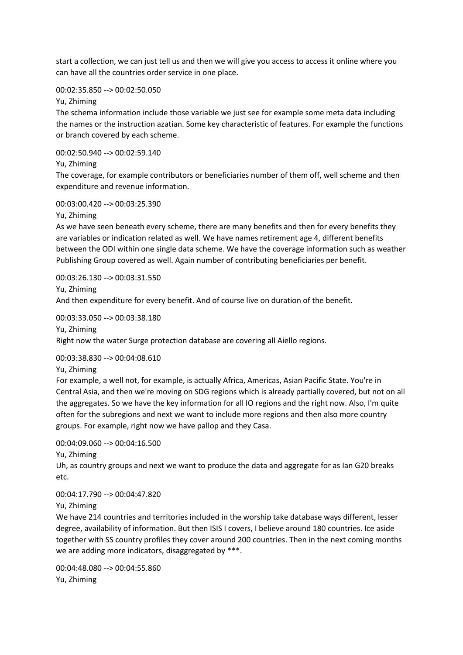start a collection, we can just tell us and then we will give you access to access it online where you can have all the countries order service in one place.

# 00:02:35.850 --> 00:02:50.050

Yu, Zhiming

The schema information include those variable we just see for example some meta data including the names or the instruction azatian. Some key characteristic of features. For example the functions or branch covered by each scheme.

00:02:50.940 --> 00:02:59.140

Yu, Zhiming

The coverage, for example contributors or beneficiaries number of them off, well scheme and then expenditure and revenue information.

## 00:03:00.420 --> 00:03:25.390

Yu, Zhiming

As we have seen beneath every scheme, there are many benefits and then for every benefits they are variables or indication related as well. We have names retirement age 4, different benefits between the ODI within one single data scheme. We have the coverage information such as weather Publishing Group covered as well. Again number of contributing beneficiaries per benefit.

00:03:26.130 --> 00:03:31.550 Yu, Zhiming And then expenditure for every benefit. And of course live on duration of the benefit.

00:03:33.050 --> 00:03:38.180 Yu, Zhiming Right now the water Surge protection database are covering all Aiello regions.

00:03:38.830 --> 00:04:08.610

Yu, Zhiming

For example, a well not, for example, is actually Africa, Americas, Asian Pacific State. You're in Central Asia, and then we're moving on SDG regions which is already partially covered, but not on all the aggregates. So we have the key information for all IO regions and the right now. Also, I'm quite often for the subregions and next we want to include more regions and then also more country groups. For example, right now we have pallop and they Casa.

00:04:09.060 --> 00:04:16.500

Yu, Zhiming

Uh, as country groups and next we want to produce the data and aggregate for as Ian G20 breaks etc.

00:04:17.790 --> 00:04:47.820

Yu, Zhiming

We have 214 countries and territories included in the worship take database ways different, lesser degree, availability of information. But then ISIS I covers, I believe around 180 countries. Ice aside together with SS country profiles they cover around 200 countries. Then in the next coming months we are adding more indicators, disaggregated by \*\*\*.

00:04:48.080 --> 00:04:55.860 Yu, Zhiming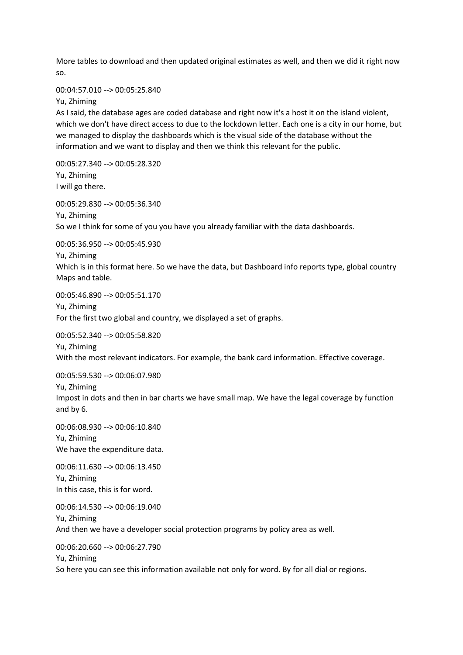More tables to download and then updated original estimates as well, and then we did it right now so.

## 00:04:57.010 --> 00:05:25.840

Yu, Zhiming

As I said, the database ages are coded database and right now it's a host it on the island violent, which we don't have direct access to due to the lockdown letter. Each one is a city in our home, but we managed to display the dashboards which is the visual side of the database without the information and we want to display and then we think this relevant for the public.

00:05:27.340 --> 00:05:28.320 Yu, Zhiming I will go there.

00:05:29.830 --> 00:05:36.340 Yu, Zhiming So we I think for some of you you have you already familiar with the data dashboards.

00:05:36.950 --> 00:05:45.930

Yu, Zhiming

Which is in this format here. So we have the data, but Dashboard info reports type, global country Maps and table.

00:05:46.890 --> 00:05:51.170 Yu, Zhiming For the first two global and country, we displayed a set of graphs.

00:05:52.340 --> 00:05:58.820 Yu, Zhiming With the most relevant indicators. For example, the bank card information. Effective coverage.

00:05:59.530 --> 00:06:07.980

Yu, Zhiming

Impost in dots and then in bar charts we have small map. We have the legal coverage by function and by 6.

00:06:08.930 --> 00:06:10.840 Yu, Zhiming We have the expenditure data.

00:06:11.630 --> 00:06:13.450 Yu, Zhiming In this case, this is for word.

00:06:14.530 --> 00:06:19.040 Yu, Zhiming And then we have a developer social protection programs by policy area as well.

00:06:20.660 --> 00:06:27.790 Yu, Zhiming So here you can see this information available not only for word. By for all dial or regions.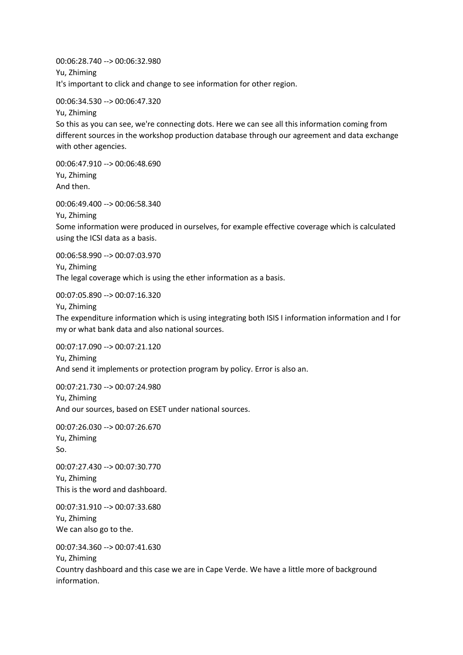00:06:28.740 --> 00:06:32.980 Yu, Zhiming It's important to click and change to see information for other region.

00:06:34.530 --> 00:06:47.320 Yu, Zhiming So this as you can see, we're connecting dots. Here we can see all this information coming from different sources in the workshop production database through our agreement and data exchange

00:06:47.910 --> 00:06:48.690 Yu, Zhiming And then.

with other agencies.

00:06:49.400 --> 00:06:58.340

Yu, Zhiming

Some information were produced in ourselves, for example effective coverage which is calculated using the ICSI data as a basis.

00:06:58.990 --> 00:07:03.970 Yu, Zhiming The legal coverage which is using the ether information as a basis.

00:07:05.890 --> 00:07:16.320

Yu, Zhiming

The expenditure information which is using integrating both ISIS I information information and I for my or what bank data and also national sources.

00:07:17.090 --> 00:07:21.120 Yu, Zhiming And send it implements or protection program by policy. Error is also an.

00:07:21.730 --> 00:07:24.980 Yu, Zhiming And our sources, based on ESET under national sources.

00:07:26.030 --> 00:07:26.670 Yu, Zhiming So.

00:07:27.430 --> 00:07:30.770 Yu, Zhiming This is the word and dashboard.

00:07:31.910 --> 00:07:33.680 Yu, Zhiming We can also go to the.

00:07:34.360 --> 00:07:41.630 Yu, Zhiming Country dashboard and this case we are in Cape Verde. We have a little more of background

information.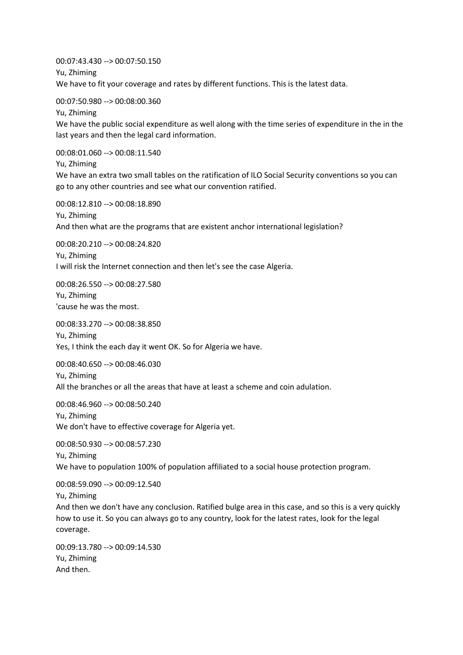00:07:43.430 --> 00:07:50.150 Yu, Zhiming We have to fit your coverage and rates by different functions. This is the latest data.

00:07:50.980 --> 00:08:00.360

Yu, Zhiming

We have the public social expenditure as well along with the time series of expenditure in the in the last years and then the legal card information.

00:08:01.060 --> 00:08:11.540

Yu, Zhiming

We have an extra two small tables on the ratification of ILO Social Security conventions so you can go to any other countries and see what our convention ratified.

00:08:12.810 --> 00:08:18.890 Yu, Zhiming And then what are the programs that are existent anchor international legislation?

00:08:20.210 --> 00:08:24.820

Yu, Zhiming I will risk the Internet connection and then let's see the case Algeria.

00:08:26.550 --> 00:08:27.580 Yu, Zhiming 'cause he was the most.

00:08:33.270 --> 00:08:38.850

Yu, Zhiming Yes, I think the each day it went OK. So for Algeria we have.

00:08:40.650 --> 00:08:46.030

Yu, Zhiming All the branches or all the areas that have at least a scheme and coin adulation.

00:08:46.960 --> 00:08:50.240 Yu, Zhiming

We don't have to effective coverage for Algeria yet.

00:08:50.930 --> 00:08:57.230 Yu, Zhiming We have to population 100% of population affiliated to a social house protection program.

00:08:59.090 --> 00:09:12.540

Yu, Zhiming

And then we don't have any conclusion. Ratified bulge area in this case, and so this is a very quickly how to use it. So you can always go to any country, look for the latest rates, look for the legal coverage.

00:09:13.780 --> 00:09:14.530 Yu, Zhiming And then.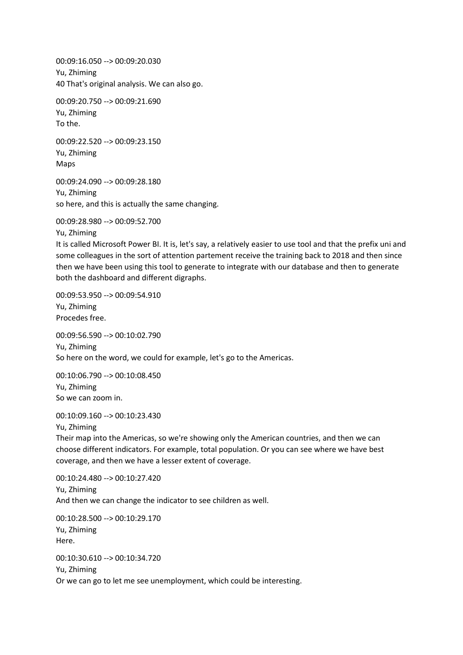00:09:16.050 --> 00:09:20.030 Yu, Zhiming 40 That's original analysis. We can also go.

00:09:20.750 --> 00:09:21.690 Yu, Zhiming To the.

00:09:22.520 --> 00:09:23.150 Yu, Zhiming Maps

00:09:24.090 --> 00:09:28.180 Yu, Zhiming so here, and this is actually the same changing.

00:09:28.980 --> 00:09:52.700

Yu, Zhiming

It is called Microsoft Power BI. It is, let's say, a relatively easier to use tool and that the prefix uni and some colleagues in the sort of attention partement receive the training back to 2018 and then since then we have been using this tool to generate to integrate with our database and then to generate both the dashboard and different digraphs.

00:09:53.950 --> 00:09:54.910 Yu, Zhiming Procedes free.

00:09:56.590 --> 00:10:02.790 Yu, Zhiming So here on the word, we could for example, let's go to the Americas.

00:10:06.790 --> 00:10:08.450 Yu, Zhiming So we can zoom in.

00:10:09.160 --> 00:10:23.430

Yu, Zhiming

Their map into the Americas, so we're showing only the American countries, and then we can choose different indicators. For example, total population. Or you can see where we have best coverage, and then we have a lesser extent of coverage.

00:10:24.480 --> 00:10:27.420 Yu, Zhiming And then we can change the indicator to see children as well.

00:10:28.500 --> 00:10:29.170 Yu, Zhiming Here.

00:10:30.610 --> 00:10:34.720 Yu, Zhiming Or we can go to let me see unemployment, which could be interesting.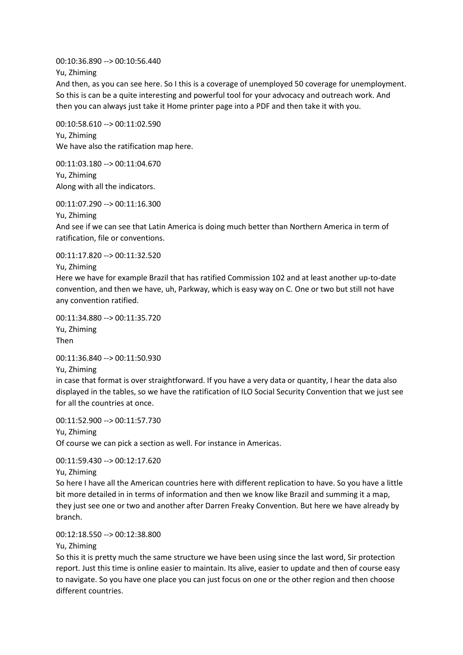00:10:36.890 --> 00:10:56.440

Yu, Zhiming

And then, as you can see here. So I this is a coverage of unemployed 50 coverage for unemployment. So this is can be a quite interesting and powerful tool for your advocacy and outreach work. And then you can always just take it Home printer page into a PDF and then take it with you.

00:10:58.610 --> 00:11:02.590 Yu, Zhiming We have also the ratification map here.

00:11:03.180 --> 00:11:04.670 Yu, Zhiming Along with all the indicators.

00:11:07.290 --> 00:11:16.300

Yu, Zhiming

And see if we can see that Latin America is doing much better than Northern America in term of ratification, file or conventions.

00:11:17.820 --> 00:11:32.520 Yu, Zhiming

Here we have for example Brazil that has ratified Commission 102 and at least another up-to-date convention, and then we have, uh, Parkway, which is easy way on C. One or two but still not have any convention ratified.

00:11:34.880 --> 00:11:35.720 Yu, Zhiming Then

00:11:36.840 --> 00:11:50.930

Yu, Zhiming

in case that format is over straightforward. If you have a very data or quantity, I hear the data also displayed in the tables, so we have the ratification of ILO Social Security Convention that we just see for all the countries at once.

00:11:52.900 --> 00:11:57.730 Yu, Zhiming Of course we can pick a section as well. For instance in Americas.

00:11:59.430 --> 00:12:17.620

Yu, Zhiming

So here I have all the American countries here with different replication to have. So you have a little bit more detailed in in terms of information and then we know like Brazil and summing it a map, they just see one or two and another after Darren Freaky Convention. But here we have already by branch.

00:12:18.550 --> 00:12:38.800

Yu, Zhiming

So this it is pretty much the same structure we have been using since the last word, Sir protection report. Just this time is online easier to maintain. Its alive, easier to update and then of course easy to navigate. So you have one place you can just focus on one or the other region and then choose different countries.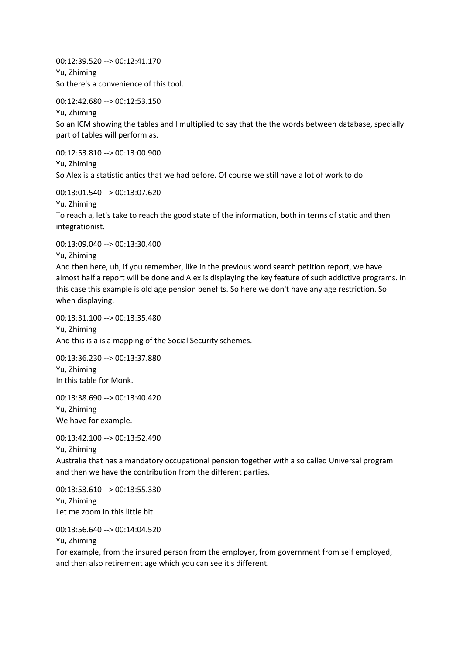00:12:39.520 --> 00:12:41.170 Yu, Zhiming So there's a convenience of this tool.

00:12:42.680 --> 00:12:53.150

Yu, Zhiming

So an ICM showing the tables and I multiplied to say that the the words between database, specially part of tables will perform as.

00:12:53.810 --> 00:13:00.900 Yu, Zhiming So Alex is a statistic antics that we had before. Of course we still have a lot of work to do.

00:13:01.540 --> 00:13:07.620

Yu, Zhiming

To reach a, let's take to reach the good state of the information, both in terms of static and then integrationist.

00:13:09.040 --> 00:13:30.400

Yu, Zhiming

And then here, uh, if you remember, like in the previous word search petition report, we have almost half a report will be done and Alex is displaying the key feature of such addictive programs. In this case this example is old age pension benefits. So here we don't have any age restriction. So when displaying.

00:13:31.100 --> 00:13:35.480 Yu, Zhiming And this is a is a mapping of the Social Security schemes.

00:13:36.230 --> 00:13:37.880 Yu, Zhiming In this table for Monk.

00:13:38.690 --> 00:13:40.420 Yu, Zhiming We have for example.

00:13:42.100 --> 00:13:52.490

Yu, Zhiming

Australia that has a mandatory occupational pension together with a so called Universal program and then we have the contribution from the different parties.

00:13:53.610 --> 00:13:55.330 Yu, Zhiming Let me zoom in this little bit.

00:13:56.640 --> 00:14:04.520

Yu, Zhiming

For example, from the insured person from the employer, from government from self employed, and then also retirement age which you can see it's different.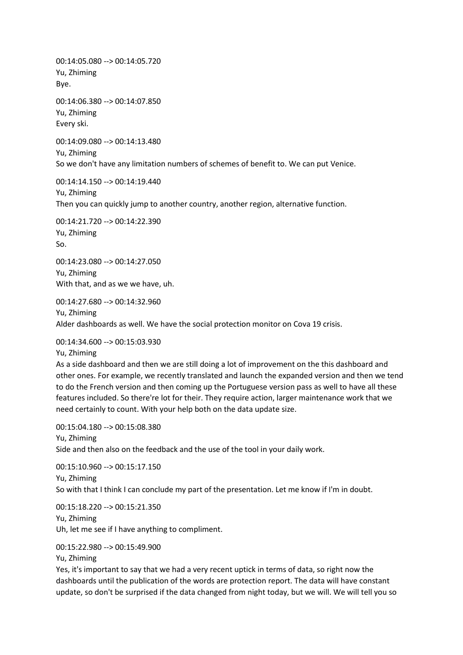00:14:05.080 --> 00:14:05.720 Yu, Zhiming Bye.

00:14:06.380 --> 00:14:07.850 Yu, Zhiming Every ski.

00:14:09.080 --> 00:14:13.480 Yu, Zhiming So we don't have any limitation numbers of schemes of benefit to. We can put Venice.

00:14:14.150 --> 00:14:19.440 Yu, Zhiming Then you can quickly jump to another country, another region, alternative function.

00:14:21.720 --> 00:14:22.390 Yu, Zhiming So.

00:14:23.080 --> 00:14:27.050 Yu, Zhiming With that, and as we we have, uh.

00:14:27.680 --> 00:14:32.960 Yu, Zhiming Alder dashboards as well. We have the social protection monitor on Cova 19 crisis.

00:14:34.600 --> 00:15:03.930

Yu, Zhiming

As a side dashboard and then we are still doing a lot of improvement on the this dashboard and other ones. For example, we recently translated and launch the expanded version and then we tend to do the French version and then coming up the Portuguese version pass as well to have all these features included. So there're lot for their. They require action, larger maintenance work that we need certainly to count. With your help both on the data update size.

00:15:04.180 --> 00:15:08.380 Yu, Zhiming Side and then also on the feedback and the use of the tool in your daily work.

00:15:10.960 --> 00:15:17.150 Yu, Zhiming So with that I think I can conclude my part of the presentation. Let me know if I'm in doubt.

00:15:18.220 --> 00:15:21.350 Yu, Zhiming Uh, let me see if I have anything to compliment.

## 00:15:22.980 --> 00:15:49.900

Yu, Zhiming

Yes, it's important to say that we had a very recent uptick in terms of data, so right now the dashboards until the publication of the words are protection report. The data will have constant update, so don't be surprised if the data changed from night today, but we will. We will tell you so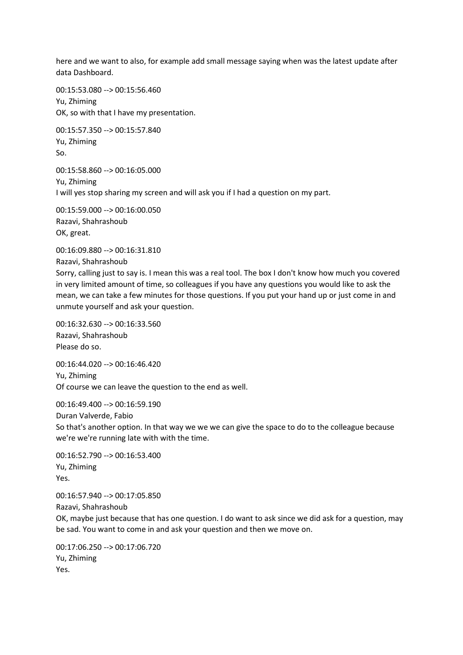here and we want to also, for example add small message saying when was the latest update after data Dashboard.

00:15:53.080 --> 00:15:56.460 Yu, Zhiming OK, so with that I have my presentation.

00:15:57.350 --> 00:15:57.840 Yu, Zhiming So.

00:15:58.860 --> 00:16:05.000 Yu, Zhiming I will yes stop sharing my screen and will ask you if I had a question on my part.

00:15:59.000 --> 00:16:00.050 Razavi, Shahrashoub OK, great.

00:16:09.880 --> 00:16:31.810 Razavi, Shahrashoub

Sorry, calling just to say is. I mean this was a real tool. The box I don't know how much you covered in very limited amount of time, so colleagues if you have any questions you would like to ask the mean, we can take a few minutes for those questions. If you put your hand up or just come in and unmute yourself and ask your question.

00:16:32.630 --> 00:16:33.560 Razavi, Shahrashoub Please do so.

00:16:44.020 --> 00:16:46.420 Yu, Zhiming Of course we can leave the question to the end as well.

00:16:49.400 --> 00:16:59.190 Duran Valverde, Fabio So that's another option. In that way we we we can give the space to do to the colleague because we're we're running late with with the time.

00:16:52.790 --> 00:16:53.400 Yu, Zhiming Yes.

00:16:57.940 --> 00:17:05.850 Razavi, Shahrashoub OK, maybe just because that has one question. I do want to ask since we did ask for a question, may be sad. You want to come in and ask your question and then we move on.

00:17:06.250 --> 00:17:06.720 Yu, Zhiming Yes.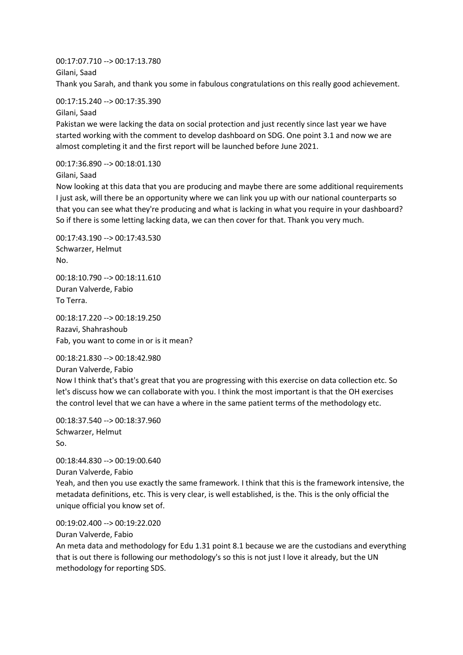00:17:07.710 --> 00:17:13.780 Gilani, Saad Thank you Sarah, and thank you some in fabulous congratulations on this really good achievement.

00:17:15.240 --> 00:17:35.390 Gilani, Saad

Pakistan we were lacking the data on social protection and just recently since last year we have started working with the comment to develop dashboard on SDG. One point 3.1 and now we are almost completing it and the first report will be launched before June 2021.

00:17:36.890 --> 00:18:01.130

Gilani, Saad

Now looking at this data that you are producing and maybe there are some additional requirements I just ask, will there be an opportunity where we can link you up with our national counterparts so that you can see what they're producing and what is lacking in what you require in your dashboard? So if there is some letting lacking data, we can then cover for that. Thank you very much.

00:17:43.190 --> 00:17:43.530 Schwarzer, Helmut No.

00:18:10.790 --> 00:18:11.610 Duran Valverde, Fabio To Terra.

00:18:17.220 --> 00:18:19.250 Razavi, Shahrashoub Fab, you want to come in or is it mean?

00:18:21.830 --> 00:18:42.980 Duran Valverde, Fabio Now I think that's that's great that you are progressing with this exercise on data collection etc. So let's discuss how we can collaborate with you. I think the most important is that the OH exercises the control level that we can have a where in the same patient terms of the methodology etc.

00:18:37.540 --> 00:18:37.960 Schwarzer, Helmut So.

00:18:44.830 --> 00:19:00.640 Duran Valverde, Fabio Yeah, and then you use exactly the same framework. I think that this is the framework intensive, the metadata definitions, etc. This is very clear, is well established, is the. This is the only official the unique official you know set of.

00:19:02.400 --> 00:19:22.020

Duran Valverde, Fabio

An meta data and methodology for Edu 1.31 point 8.1 because we are the custodians and everything that is out there is following our methodology's so this is not just I love it already, but the UN methodology for reporting SDS.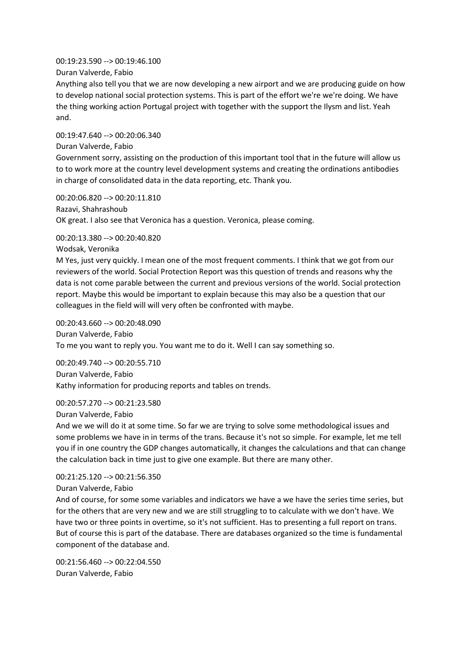00:19:23.590 --> 00:19:46.100 Duran Valverde, Fabio

Anything also tell you that we are now developing a new airport and we are producing guide on how to develop national social protection systems. This is part of the effort we're we're doing. We have the thing working action Portugal project with together with the support the Ilysm and list. Yeah and.

00:19:47.640 --> 00:20:06.340 Duran Valverde, Fabio Government sorry, assisting on the production of this important tool that in the future will allow us to to work more at the country level development systems and creating the ordinations antibodies in charge of consolidated data in the data reporting, etc. Thank you.

00:20:06.820 --> 00:20:11.810 Razavi, Shahrashoub OK great. I also see that Veronica has a question. Veronica, please coming.

00:20:13.380 --> 00:20:40.820

Wodsak, Veronika

M Yes, just very quickly. I mean one of the most frequent comments. I think that we got from our reviewers of the world. Social Protection Report was this question of trends and reasons why the data is not come parable between the current and previous versions of the world. Social protection report. Maybe this would be important to explain because this may also be a question that our colleagues in the field will will very often be confronted with maybe.

00:20:43.660 --> 00:20:48.090 Duran Valverde, Fabio To me you want to reply you. You want me to do it. Well I can say something so.

00:20:49.740 --> 00:20:55.710 Duran Valverde, Fabio Kathy information for producing reports and tables on trends.

00:20:57.270 --> 00:21:23.580

Duran Valverde, Fabio

And we we will do it at some time. So far we are trying to solve some methodological issues and some problems we have in in terms of the trans. Because it's not so simple. For example, let me tell you if in one country the GDP changes automatically, it changes the calculations and that can change the calculation back in time just to give one example. But there are many other.

00:21:25.120 --> 00:21:56.350

Duran Valverde, Fabio And of course, for some some variables and indicators we have a we have the series time series, but for the others that are very new and we are still struggling to to calculate with we don't have. We have two or three points in overtime, so it's not sufficient. Has to presenting a full report on trans. But of course this is part of the database. There are databases organized so the time is fundamental

00:21:56.460 --> 00:22:04.550 Duran Valverde, Fabio

component of the database and.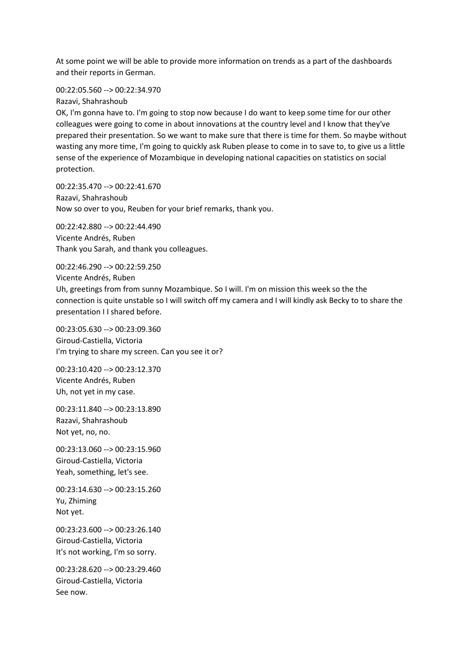At some point we will be able to provide more information on trends as a part of the dashboards and their reports in German.

00:22:05.560 --> 00:22:34.970

Razavi, Shahrashoub

OK, I'm gonna have to. I'm going to stop now because I do want to keep some time for our other colleagues were going to come in about innovations at the country level and I know that they've prepared their presentation. So we want to make sure that there is time for them. So maybe without wasting any more time, I'm going to quickly ask Ruben please to come in to save to, to give us a little sense of the experience of Mozambique in developing national capacities on statistics on social protection.

00:22:35.470 --> 00:22:41.670 Razavi, Shahrashoub Now so over to you, Reuben for your brief remarks, thank you.

00:22:42.880 --> 00:22:44.490 Vicente Andrés, Ruben Thank you Sarah, and thank you colleagues.

00:22:46.290 --> 00:22:59.250 Vicente Andrés, Ruben

Uh, greetings from from sunny Mozambique. So I will. I'm on mission this week so the the connection is quite unstable so I will switch off my camera and I will kindly ask Becky to to share the presentation I I shared before.

00:23:05.630 --> 00:23:09.360 Giroud-Castiella, Victoria I'm trying to share my screen. Can you see it or?

00:23:10.420 --> 00:23:12.370 Vicente Andrés, Ruben Uh, not yet in my case.

00:23:11.840 --> 00:23:13.890 Razavi, Shahrashoub Not yet, no, no.

00:23:13.060 --> 00:23:15.960 Giroud-Castiella, Victoria Yeah, something, let's see.

00:23:14.630 --> 00:23:15.260 Yu, Zhiming Not yet.

00:23:23.600 --> 00:23:26.140 Giroud-Castiella, Victoria It's not working, I'm so sorry.

00:23:28.620 --> 00:23:29.460 Giroud-Castiella, Victoria See now.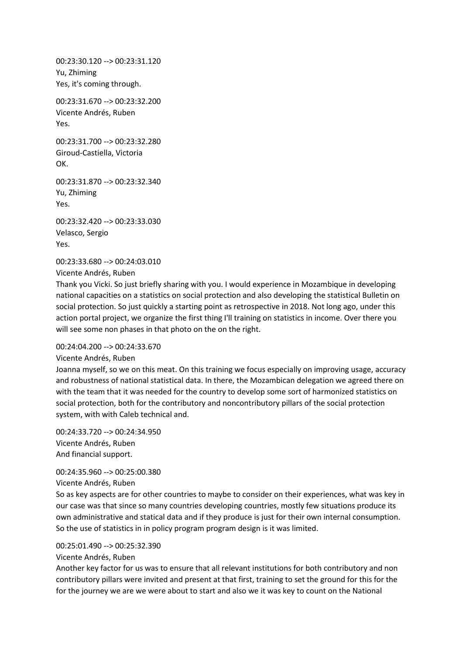00:23:30.120 --> 00:23:31.120 Yu, Zhiming Yes, it's coming through.

00:23:31.670 --> 00:23:32.200 Vicente Andrés, Ruben Yes.

00:23:31.700 --> 00:23:32.280 Giroud-Castiella, Victoria OK.

00:23:31.870 --> 00:23:32.340 Yu, Zhiming Yes.

00:23:32.420 --> 00:23:33.030 Velasco, Sergio Yes.

00:23:33.680 --> 00:24:03.010

Vicente Andrés, Ruben

Thank you Vicki. So just briefly sharing with you. I would experience in Mozambique in developing national capacities on a statistics on social protection and also developing the statistical Bulletin on social protection. So just quickly a starting point as retrospective in 2018. Not long ago, under this action portal project, we organize the first thing I'll training on statistics in income. Over there you will see some non phases in that photo on the on the right.

## 00:24:04.200 --> 00:24:33.670

## Vicente Andrés, Ruben

Joanna myself, so we on this meat. On this training we focus especially on improving usage, accuracy and robustness of national statistical data. In there, the Mozambican delegation we agreed there on with the team that it was needed for the country to develop some sort of harmonized statistics on social protection, both for the contributory and noncontributory pillars of the social protection system, with with Caleb technical and.

00:24:33.720 --> 00:24:34.950 Vicente Andrés, Ruben And financial support.

## 00:24:35.960 --> 00:25:00.380

## Vicente Andrés, Ruben

So as key aspects are for other countries to maybe to consider on their experiences, what was key in our case was that since so many countries developing countries, mostly few situations produce its own administrative and statical data and if they produce is just for their own internal consumption. So the use of statistics in in policy program program design is it was limited.

## 00:25:01.490 --> 00:25:32.390

Vicente Andrés, Ruben

Another key factor for us was to ensure that all relevant institutions for both contributory and non contributory pillars were invited and present at that first, training to set the ground for this for the for the journey we are we were about to start and also we it was key to count on the National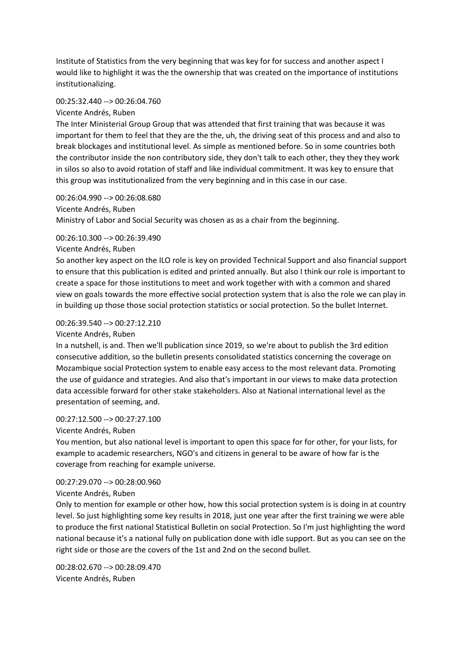Institute of Statistics from the very beginning that was key for for success and another aspect I would like to highlight it was the the ownership that was created on the importance of institutions institutionalizing.

## 00:25:32.440 --> 00:26:04.760

## Vicente Andrés, Ruben

The Inter Ministerial Group Group that was attended that first training that was because it was important for them to feel that they are the the, uh, the driving seat of this process and and also to break blockages and institutional level. As simple as mentioned before. So in some countries both the contributor inside the non contributory side, they don't talk to each other, they they they work in silos so also to avoid rotation of staff and like individual commitment. It was key to ensure that this group was institutionalized from the very beginning and in this case in our case.

00:26:04.990 --> 00:26:08.680 Vicente Andrés, Ruben Ministry of Labor and Social Security was chosen as as a chair from the beginning.

## 00:26:10.300 --> 00:26:39.490

## Vicente Andrés, Ruben

So another key aspect on the ILO role is key on provided Technical Support and also financial support to ensure that this publication is edited and printed annually. But also I think our role is important to create a space for those institutions to meet and work together with with a common and shared view on goals towards the more effective social protection system that is also the role we can play in in building up those those social protection statistics or social protection. So the bullet Internet.

#### 00:26:39.540 --> 00:27:12.210

#### Vicente Andrés, Ruben

In a nutshell, is and. Then we'll publication since 2019, so we're about to publish the 3rd edition consecutive addition, so the bulletin presents consolidated statistics concerning the coverage on Mozambique social Protection system to enable easy access to the most relevant data. Promoting the use of guidance and strategies. And also that's important in our views to make data protection data accessible forward for other stake stakeholders. Also at National international level as the presentation of seeming, and.

#### 00:27:12.500 --> 00:27:27.100

#### Vicente Andrés, Ruben

You mention, but also national level is important to open this space for for other, for your lists, for example to academic researchers, NGO's and citizens in general to be aware of how far is the coverage from reaching for example universe.

#### 00:27:29.070 --> 00:28:00.960

## Vicente Andrés, Ruben

Only to mention for example or other how, how this social protection system is is doing in at country level. So just highlighting some key results in 2018, just one year after the first training we were able to produce the first national Statistical Bulletin on social Protection. So I'm just highlighting the word national because it's a national fully on publication done with idle support. But as you can see on the right side or those are the covers of the 1st and 2nd on the second bullet.

00:28:02.670 --> 00:28:09.470 Vicente Andrés, Ruben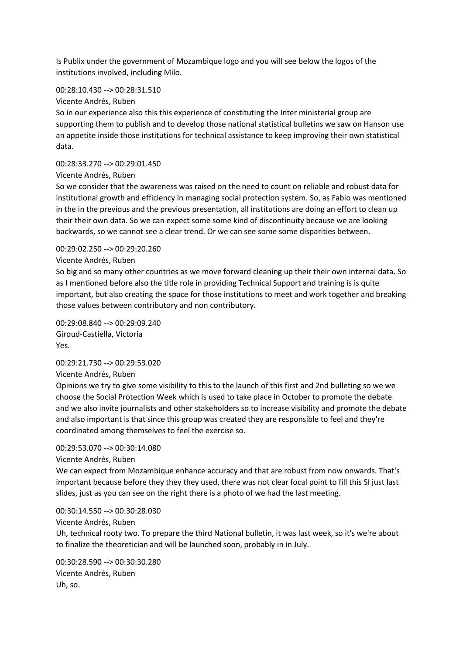Is Publix under the government of Mozambique logo and you will see below the logos of the institutions involved, including Milo.

# 00:28:10.430 --> 00:28:31.510

#### Vicente Andrés, Ruben

So in our experience also this this experience of constituting the Inter ministerial group are supporting them to publish and to develop those national statistical bulletins we saw on Hanson use an appetite inside those institutions for technical assistance to keep improving their own statistical data.

## 00:28:33.270 --> 00:29:01.450

## Vicente Andrés, Ruben

So we consider that the awareness was raised on the need to count on reliable and robust data for institutional growth and efficiency in managing social protection system. So, as Fabio was mentioned in the in the previous and the previous presentation, all institutions are doing an effort to clean up their their own data. So we can expect some some kind of discontinuity because we are looking backwards, so we cannot see a clear trend. Or we can see some some disparities between.

## 00:29:02.250 --> 00:29:20.260

## Vicente Andrés, Ruben

So big and so many other countries as we move forward cleaning up their their own internal data. So as I mentioned before also the title role in providing Technical Support and training is is quite important, but also creating the space for those institutions to meet and work together and breaking those values between contributory and non contributory.

00:29:08.840 --> 00:29:09.240 Giroud-Castiella, Victoria Yes.

## 00:29:21.730 --> 00:29:53.020

#### Vicente Andrés, Ruben

Opinions we try to give some visibility to this to the launch of this first and 2nd bulleting so we we choose the Social Protection Week which is used to take place in October to promote the debate and we also invite journalists and other stakeholders so to increase visibility and promote the debate and also important is that since this group was created they are responsible to feel and they're coordinated among themselves to feel the exercise so.

# 00:29:53.070 --> 00:30:14.080

Vicente Andrés, Ruben

We can expect from Mozambique enhance accuracy and that are robust from now onwards. That's important because before they they they used, there was not clear focal point to fill this SI just last slides, just as you can see on the right there is a photo of we had the last meeting.

00:30:14.550 --> 00:30:28.030

## Vicente Andrés, Ruben

Uh, technical rooty two. To prepare the third National bulletin, it was last week, so it's we're about to finalize the theoretician and will be launched soon, probably in in July.

00:30:28.590 --> 00:30:30.280 Vicente Andrés, Ruben Uh, so.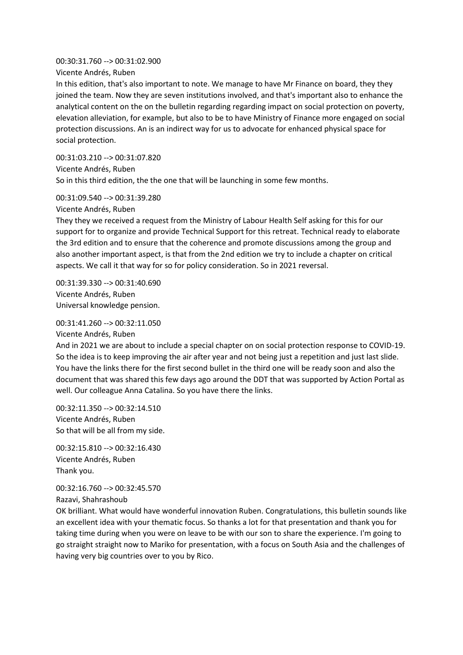#### 00:30:31.760 --> 00:31:02.900

Vicente Andrés, Ruben

In this edition, that's also important to note. We manage to have Mr Finance on board, they they joined the team. Now they are seven institutions involved, and that's important also to enhance the analytical content on the on the bulletin regarding regarding impact on social protection on poverty, elevation alleviation, for example, but also to be to have Ministry of Finance more engaged on social protection discussions. An is an indirect way for us to advocate for enhanced physical space for social protection.

00:31:03.210 --> 00:31:07.820 Vicente Andrés, Ruben So in this third edition, the the one that will be launching in some few months.

00:31:09.540 --> 00:31:39.280

Vicente Andrés, Ruben

They they we received a request from the Ministry of Labour Health Self asking for this for our support for to organize and provide Technical Support for this retreat. Technical ready to elaborate the 3rd edition and to ensure that the coherence and promote discussions among the group and also another important aspect, is that from the 2nd edition we try to include a chapter on critical aspects. We call it that way for so for policy consideration. So in 2021 reversal.

00:31:39.330 --> 00:31:40.690 Vicente Andrés, Ruben Universal knowledge pension.

00:31:41.260 --> 00:32:11.050 Vicente Andrés, Ruben

And in 2021 we are about to include a special chapter on on social protection response to COVID-19. So the idea is to keep improving the air after year and not being just a repetition and just last slide. You have the links there for the first second bullet in the third one will be ready soon and also the document that was shared this few days ago around the DDT that was supported by Action Portal as well. Our colleague Anna Catalina. So you have there the links.

00:32:11.350 --> 00:32:14.510 Vicente Andrés, Ruben So that will be all from my side.

00:32:15.810 --> 00:32:16.430 Vicente Andrés, Ruben Thank you.

00:32:16.760 --> 00:32:45.570 Razavi, Shahrashoub

OK brilliant. What would have wonderful innovation Ruben. Congratulations, this bulletin sounds like an excellent idea with your thematic focus. So thanks a lot for that presentation and thank you for taking time during when you were on leave to be with our son to share the experience. I'm going to go straight straight now to Mariko for presentation, with a focus on South Asia and the challenges of having very big countries over to you by Rico.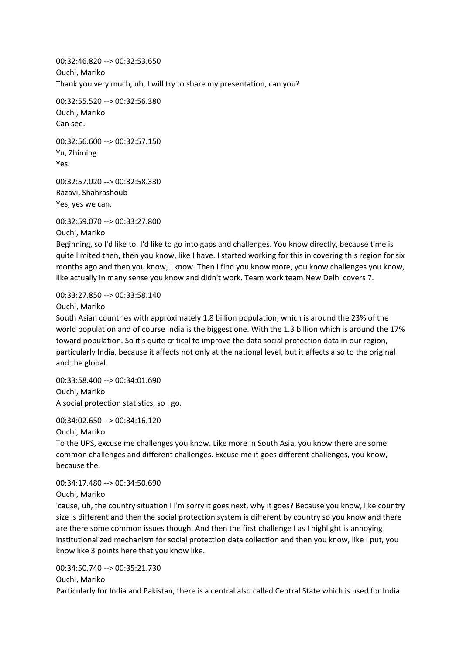00:32:46.820 --> 00:32:53.650 Ouchi, Mariko Thank you very much, uh, I will try to share my presentation, can you?

00:32:55.520 --> 00:32:56.380 Ouchi, Mariko Can see.

00:32:56.600 --> 00:32:57.150 Yu, Zhiming Yes.

00:32:57.020 --> 00:32:58.330 Razavi, Shahrashoub Yes, yes we can.

00:32:59.070 --> 00:33:27.800

Ouchi, Mariko

Beginning, so I'd like to. I'd like to go into gaps and challenges. You know directly, because time is quite limited then, then you know, like I have. I started working for this in covering this region for six months ago and then you know, I know. Then I find you know more, you know challenges you know, like actually in many sense you know and didn't work. Team work team New Delhi covers 7.

00:33:27.850 --> 00:33:58.140

Ouchi, Mariko

South Asian countries with approximately 1.8 billion population, which is around the 23% of the world population and of course India is the biggest one. With the 1.3 billion which is around the 17% toward population. So it's quite critical to improve the data social protection data in our region, particularly India, because it affects not only at the national level, but it affects also to the original and the global.

00:33:58.400 --> 00:34:01.690 Ouchi, Mariko A social protection statistics, so I go.

00:34:02.650 --> 00:34:16.120

Ouchi, Mariko

To the UPS, excuse me challenges you know. Like more in South Asia, you know there are some common challenges and different challenges. Excuse me it goes different challenges, you know, because the.

00:34:17.480 --> 00:34:50.690

Ouchi, Mariko

'cause, uh, the country situation I I'm sorry it goes next, why it goes? Because you know, like country size is different and then the social protection system is different by country so you know and there are there some common issues though. And then the first challenge I as I highlight is annoying institutionalized mechanism for social protection data collection and then you know, like I put, you know like 3 points here that you know like.

00:34:50.740 --> 00:35:21.730

Ouchi, Mariko

Particularly for India and Pakistan, there is a central also called Central State which is used for India.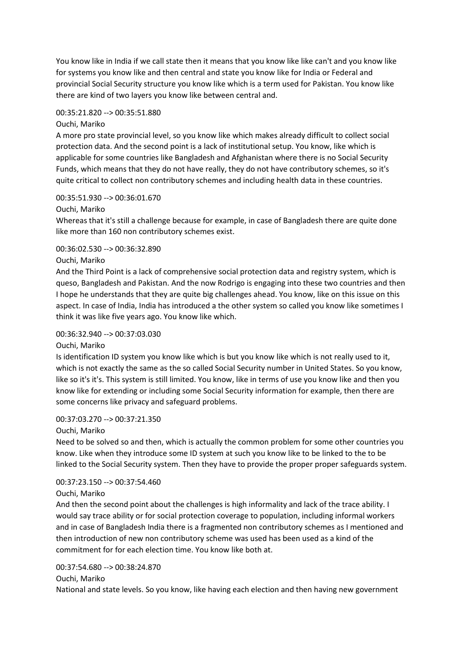You know like in India if we call state then it means that you know like like can't and you know like for systems you know like and then central and state you know like for India or Federal and provincial Social Security structure you know like which is a term used for Pakistan. You know like there are kind of two layers you know like between central and.

#### 00:35:21.820 --> 00:35:51.880

#### Ouchi, Mariko

A more pro state provincial level, so you know like which makes already difficult to collect social protection data. And the second point is a lack of institutional setup. You know, like which is applicable for some countries like Bangladesh and Afghanistan where there is no Social Security Funds, which means that they do not have really, they do not have contributory schemes, so it's quite critical to collect non contributory schemes and including health data in these countries.

#### 00:35:51.930 --> 00:36:01.670

Ouchi, Mariko

Whereas that it's still a challenge because for example, in case of Bangladesh there are quite done like more than 160 non contributory schemes exist.

#### 00:36:02.530 --> 00:36:32.890

#### Ouchi, Mariko

And the Third Point is a lack of comprehensive social protection data and registry system, which is queso, Bangladesh and Pakistan. And the now Rodrigo is engaging into these two countries and then I hope he understands that they are quite big challenges ahead. You know, like on this issue on this aspect. In case of India, India has introduced a the other system so called you know like sometimes I think it was like five years ago. You know like which.

#### 00:36:32.940 --> 00:37:03.030

#### Ouchi, Mariko

Is identification ID system you know like which is but you know like which is not really used to it, which is not exactly the same as the so called Social Security number in United States. So you know, like so it's it's. This system is still limited. You know, like in terms of use you know like and then you know like for extending or including some Social Security information for example, then there are some concerns like privacy and safeguard problems.

#### 00:37:03.270 --> 00:37:21.350

#### Ouchi, Mariko

Need to be solved so and then, which is actually the common problem for some other countries you know. Like when they introduce some ID system at such you know like to be linked to the to be linked to the Social Security system. Then they have to provide the proper proper safeguards system.

#### 00:37:23.150 --> 00:37:54.460

#### Ouchi, Mariko

And then the second point about the challenges is high informality and lack of the trace ability. I would say trace ability or for social protection coverage to population, including informal workers and in case of Bangladesh India there is a fragmented non contributory schemes as I mentioned and then introduction of new non contributory scheme was used has been used as a kind of the commitment for for each election time. You know like both at.

## 00:37:54.680 --> 00:38:24.870

#### Ouchi, Mariko

National and state levels. So you know, like having each election and then having new government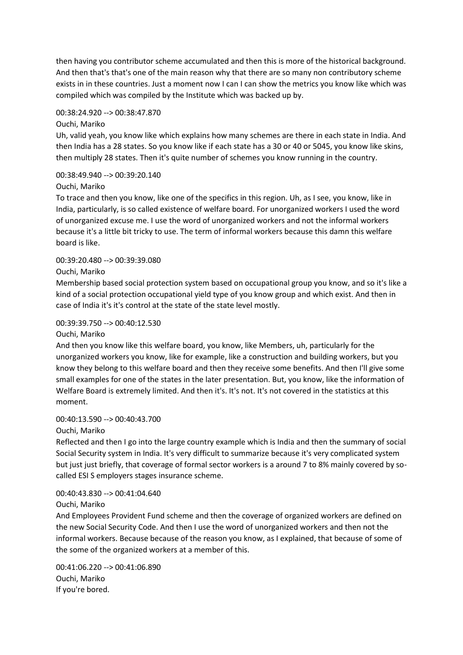then having you contributor scheme accumulated and then this is more of the historical background. And then that's that's one of the main reason why that there are so many non contributory scheme exists in in these countries. Just a moment now I can I can show the metrics you know like which was compiled which was compiled by the Institute which was backed up by.

#### 00:38:24.920 --> 00:38:47.870

#### Ouchi, Mariko

Uh, valid yeah, you know like which explains how many schemes are there in each state in India. And then India has a 28 states. So you know like if each state has a 30 or 40 or 5045, you know like skins, then multiply 28 states. Then it's quite number of schemes you know running in the country.

# 00:38:49.940 --> 00:39:20.140

#### Ouchi, Mariko

To trace and then you know, like one of the specifics in this region. Uh, as I see, you know, like in India, particularly, is so called existence of welfare board. For unorganized workers I used the word of unorganized excuse me. I use the word of unorganized workers and not the informal workers because it's a little bit tricky to use. The term of informal workers because this damn this welfare board is like.

# 00:39:20.480 --> 00:39:39.080

#### Ouchi, Mariko

Membership based social protection system based on occupational group you know, and so it's like a kind of a social protection occupational yield type of you know group and which exist. And then in case of India it's it's control at the state of the state level mostly.

#### 00:39:39.750 --> 00:40:12.530

#### Ouchi, Mariko

And then you know like this welfare board, you know, like Members, uh, particularly for the unorganized workers you know, like for example, like a construction and building workers, but you know they belong to this welfare board and then they receive some benefits. And then I'll give some small examples for one of the states in the later presentation. But, you know, like the information of Welfare Board is extremely limited. And then it's. It's not. It's not covered in the statistics at this moment.

## 00:40:13.590 --> 00:40:43.700

#### Ouchi, Mariko

Reflected and then I go into the large country example which is India and then the summary of social Social Security system in India. It's very difficult to summarize because it's very complicated system but just just briefly, that coverage of formal sector workers is a around 7 to 8% mainly covered by socalled ESI S employers stages insurance scheme.

#### 00:40:43.830 --> 00:41:04.640

#### Ouchi, Mariko

And Employees Provident Fund scheme and then the coverage of organized workers are defined on the new Social Security Code. And then I use the word of unorganized workers and then not the informal workers. Because because of the reason you know, as I explained, that because of some of the some of the organized workers at a member of this.

00:41:06.220 --> 00:41:06.890 Ouchi, Mariko If you're bored.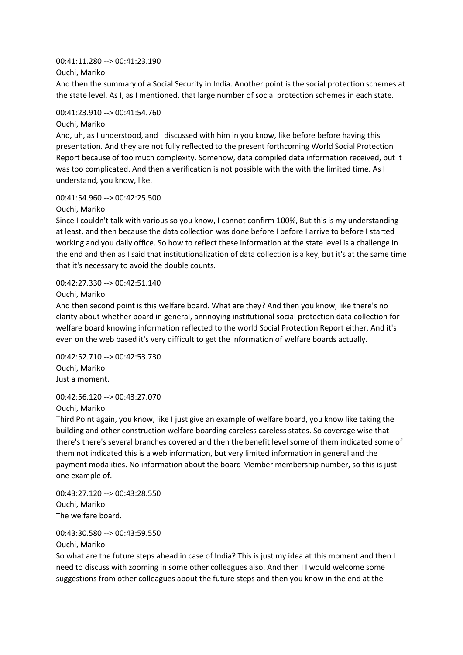#### 00:41:11.280 --> 00:41:23.190

Ouchi, Mariko

And then the summary of a Social Security in India. Another point is the social protection schemes at the state level. As I, as I mentioned, that large number of social protection schemes in each state.

## 00:41:23.910 --> 00:41:54.760

Ouchi, Mariko

And, uh, as I understood, and I discussed with him in you know, like before before having this presentation. And they are not fully reflected to the present forthcoming World Social Protection Report because of too much complexity. Somehow, data compiled data information received, but it was too complicated. And then a verification is not possible with the with the limited time. As I understand, you know, like.

## 00:41:54.960 --> 00:42:25.500

Ouchi, Mariko

Since I couldn't talk with various so you know, I cannot confirm 100%, But this is my understanding at least, and then because the data collection was done before I before I arrive to before I started working and you daily office. So how to reflect these information at the state level is a challenge in the end and then as I said that institutionalization of data collection is a key, but it's at the same time that it's necessary to avoid the double counts.

# 00:42:27.330 --> 00:42:51.140

Ouchi, Mariko

And then second point is this welfare board. What are they? And then you know, like there's no clarity about whether board in general, annnoying institutional social protection data collection for welfare board knowing information reflected to the world Social Protection Report either. And it's even on the web based it's very difficult to get the information of welfare boards actually.

00:42:52.710 --> 00:42:53.730 Ouchi, Mariko Just a moment.

## 00:42:56.120 --> 00:43:27.070

Ouchi, Mariko

Third Point again, you know, like I just give an example of welfare board, you know like taking the building and other construction welfare boarding careless careless states. So coverage wise that there's there's several branches covered and then the benefit level some of them indicated some of them not indicated this is a web information, but very limited information in general and the payment modalities. No information about the board Member membership number, so this is just one example of.

00:43:27.120 --> 00:43:28.550 Ouchi, Mariko The welfare board.

00:43:30.580 --> 00:43:59.550

Ouchi, Mariko

So what are the future steps ahead in case of India? This is just my idea at this moment and then I need to discuss with zooming in some other colleagues also. And then I I would welcome some suggestions from other colleagues about the future steps and then you know in the end at the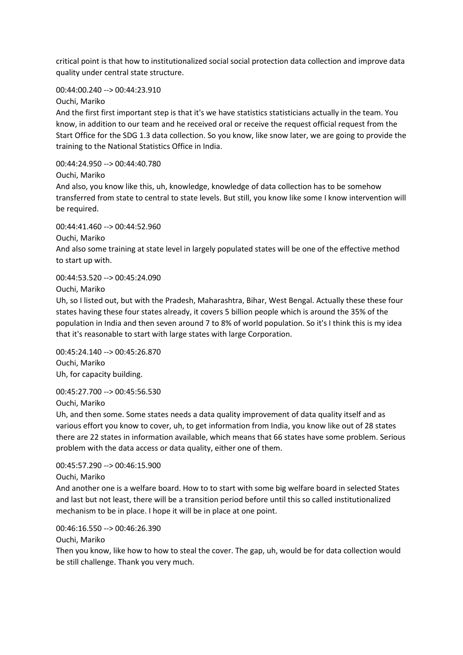critical point is that how to institutionalized social social protection data collection and improve data quality under central state structure.

00:44:00.240 --> 00:44:23.910

Ouchi, Mariko

And the first first important step is that it's we have statistics statisticians actually in the team. You know, in addition to our team and he received oral or receive the request official request from the Start Office for the SDG 1.3 data collection. So you know, like snow later, we are going to provide the training to the National Statistics Office in India.

00:44:24.950 --> 00:44:40.780

Ouchi, Mariko

And also, you know like this, uh, knowledge, knowledge of data collection has to be somehow transferred from state to central to state levels. But still, you know like some I know intervention will be required.

# 00:44:41.460 --> 00:44:52.960

Ouchi, Mariko

And also some training at state level in largely populated states will be one of the effective method to start up with.

00:44:53.520 --> 00:45:24.090

Ouchi, Mariko

Uh, so I listed out, but with the Pradesh, Maharashtra, Bihar, West Bengal. Actually these these four states having these four states already, it covers 5 billion people which is around the 35% of the population in India and then seven around 7 to 8% of world population. So it's I think this is my idea that it's reasonable to start with large states with large Corporation.

00:45:24.140 --> 00:45:26.870 Ouchi, Mariko Uh, for capacity building.

00:45:27.700 --> 00:45:56.530 Ouchi, Mariko

Uh, and then some. Some states needs a data quality improvement of data quality itself and as various effort you know to cover, uh, to get information from India, you know like out of 28 states there are 22 states in information available, which means that 66 states have some problem. Serious problem with the data access or data quality, either one of them.

00:45:57.290 --> 00:46:15.900

Ouchi, Mariko

And another one is a welfare board. How to to start with some big welfare board in selected States and last but not least, there will be a transition period before until this so called institutionalized mechanism to be in place. I hope it will be in place at one point.

00:46:16.550 --> 00:46:26.390

Ouchi, Mariko

Then you know, like how to how to steal the cover. The gap, uh, would be for data collection would be still challenge. Thank you very much.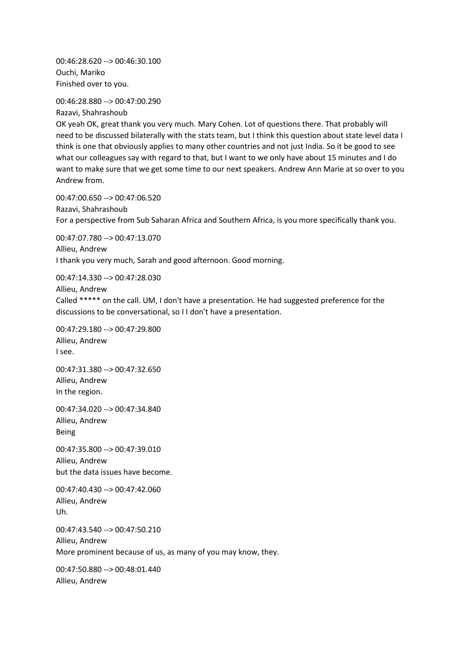00:46:28.620 --> 00:46:30.100 Ouchi, Mariko Finished over to you.

00:46:28.880 --> 00:47:00.290 Razavi, Shahrashoub

OK yeah OK, great thank you very much. Mary Cohen. Lot of questions there. That probably will need to be discussed bilaterally with the stats team, but I think this question about state level data I think is one that obviously applies to many other countries and not just India. So it be good to see what our colleagues say with regard to that, but I want to we only have about 15 minutes and I do want to make sure that we get some time to our next speakers. Andrew Ann Marie at so over to you Andrew from.

00:47:00.650 --> 00:47:06.520 Razavi, Shahrashoub For a perspective from Sub Saharan Africa and Southern Africa, is you more specifically thank you.

00:47:07.780 --> 00:47:13.070 Allieu, Andrew I thank you very much, Sarah and good afternoon. Good morning.

00:47:14.330 --> 00:47:28.030 Allieu, Andrew Called \*\*\*\*\* on the call. UM, I don't have a presentation. He had suggested preference for the discussions to be conversational, so I I don't have a presentation.

00:47:29.180 --> 00:47:29.800 Allieu, Andrew I see.

00:47:31.380 --> 00:47:32.650 Allieu, Andrew In the region.

00:47:34.020 --> 00:47:34.840 Allieu, Andrew Being

00:47:35.800 --> 00:47:39.010 Allieu, Andrew but the data issues have become.

00:47:40.430 --> 00:47:42.060 Allieu, Andrew Uh.

00:47:43.540 --> 00:47:50.210 Allieu, Andrew More prominent because of us, as many of you may know, they.

00:47:50.880 --> 00:48:01.440 Allieu, Andrew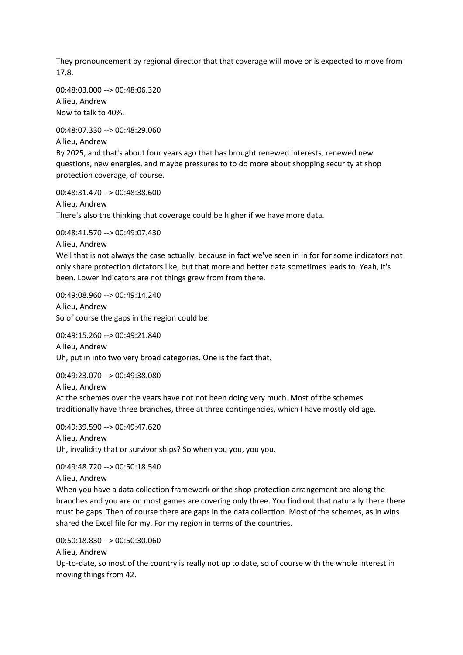They pronouncement by regional director that that coverage will move or is expected to move from 17.8.

00:48:03.000 --> 00:48:06.320 Allieu, Andrew Now to talk to 40%.

00:48:07.330 --> 00:48:29.060 Allieu, Andrew By 2025, and that's about four years ago that has brought renewed interests, renewed new questions, new energies, and maybe pressures to to do more about shopping security at shop protection coverage, of course.

00:48:31.470 --> 00:48:38.600 Allieu, Andrew There's also the thinking that coverage could be higher if we have more data.

00:48:41.570 --> 00:49:07.430

Allieu, Andrew

Well that is not always the case actually, because in fact we've seen in in for for some indicators not only share protection dictators like, but that more and better data sometimes leads to. Yeah, it's been. Lower indicators are not things grew from from there.

00:49:08.960 --> 00:49:14.240 Allieu, Andrew So of course the gaps in the region could be.

00:49:15.260 --> 00:49:21.840 Allieu, Andrew Uh, put in into two very broad categories. One is the fact that.

00:49:23.070 --> 00:49:38.080 Allieu, Andrew

At the schemes over the years have not not been doing very much. Most of the schemes traditionally have three branches, three at three contingencies, which I have mostly old age.

00:49:39.590 --> 00:49:47.620 Allieu, Andrew Uh, invalidity that or survivor ships? So when you you, you you.

00:49:48.720 --> 00:50:18.540

Allieu, Andrew

When you have a data collection framework or the shop protection arrangement are along the branches and you are on most games are covering only three. You find out that naturally there there must be gaps. Then of course there are gaps in the data collection. Most of the schemes, as in wins shared the Excel file for my. For my region in terms of the countries.

00:50:18.830 --> 00:50:30.060 Allieu, Andrew

Up-to-date, so most of the country is really not up to date, so of course with the whole interest in moving things from 42.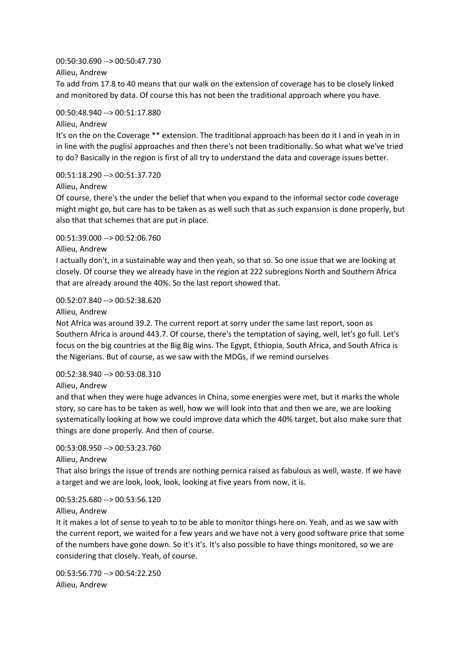## 00:50:30.690 --> 00:50:47.730

Allieu, Andrew

To add from 17.8 to 40 means that our walk on the extension of coverage has to be closely linked and monitored by data. Of course this has not been the traditional approach where you have.

#### 00:50:48.940 --> 00:51:17.880

Allieu, Andrew

It's on the on the Coverage \*\* extension. The traditional approach has been do it I and in yeah in in in line with the puglisi approaches and then there's not been traditionally. So what what we've tried to do? Basically in the region is first of all try to understand the data and coverage issues better.

# 00:51:18.290 --> 00:51:37.720

Allieu, Andrew

Of course, there's the under the belief that when you expand to the informal sector code coverage might might go, but care has to be taken as as well such that as such expansion is done properly, but also that that schemes that are put in place.

## 00:51:39.000 --> 00:52:06.760

Allieu, Andrew

I actually don't, in a sustainable way and then yeah, so that so. So one issue that we are looking at closely. Of course they we already have in the region at 222 subregions North and Southern Africa that are already around the 40%. So the last report showed that.

## 00:52:07.840 --> 00:52:38.620

Allieu, Andrew

Not Africa was around 39.2. The current report at sorry under the same last report, soon as Southern Africa is around 443.7. Of course, there's the temptation of saying, well, let's go full. Let's focus on the big countries at the Big Big wins. The Egypt, Ethiopia, South Africa, and South Africa is the Nigerians. But of course, as we saw with the MDGs, if we remind ourselves

## 00:52:38.940 --> 00:53:08.310

Allieu, Andrew

and that when they were huge advances in China, some energies were met, but it marks the whole story, so care has to be taken as well, how we will look into that and then we are, we are looking systematically looking at how we could improve data which the 40% target, but also make sure that things are done properly. And then of course.

# 00:53:08.950 --> 00:53:23.760

Allieu, Andrew

That also brings the issue of trends are nothing pernica raised as fabulous as well, waste. If we have a target and we are look, look, look, looking at five years from now, it is.

## 00:53:25.680 --> 00:53:56.120

#### Allieu, Andrew

It it makes a lot of sense to yeah to to be able to monitor things here on. Yeah, and as we saw with the current report, we waited for a few years and we have not a very good software price that some of the numbers have gone down. So it's it's. It's also possible to have things monitored, so we are considering that closely. Yeah, of course.

00:53:56.770 --> 00:54:22.250 Allieu, Andrew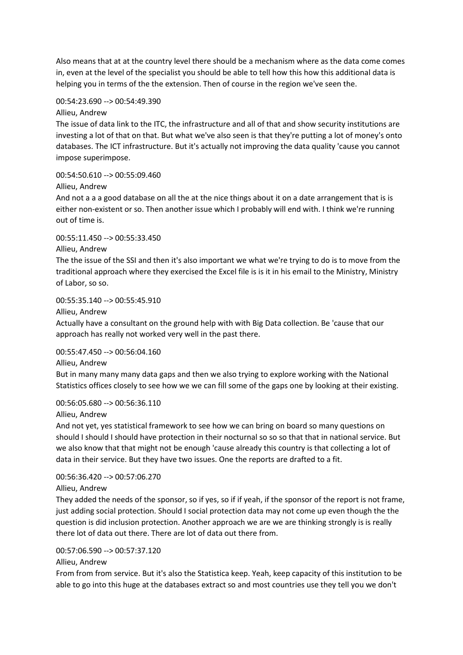Also means that at at the country level there should be a mechanism where as the data come comes in, even at the level of the specialist you should be able to tell how this how this additional data is helping you in terms of the the extension. Then of course in the region we've seen the.

# 00:54:23.690 --> 00:54:49.390

Allieu, Andrew

The issue of data link to the ITC, the infrastructure and all of that and show security institutions are investing a lot of that on that. But what we've also seen is that they're putting a lot of money's onto databases. The ICT infrastructure. But it's actually not improving the data quality 'cause you cannot impose superimpose.

# 00:54:50.610 --> 00:55:09.460

Allieu, Andrew

And not a a a good database on all the at the nice things about it on a date arrangement that is is either non-existent or so. Then another issue which I probably will end with. I think we're running out of time is.

# 00:55:11.450 --> 00:55:33.450

## Allieu, Andrew

The the issue of the SSI and then it's also important we what we're trying to do is to move from the traditional approach where they exercised the Excel file is is it in his email to the Ministry, Ministry of Labor, so so.

00:55:35.140 --> 00:55:45.910

## Allieu, Andrew

Actually have a consultant on the ground help with with Big Data collection. Be 'cause that our approach has really not worked very well in the past there.

## 00:55:47.450 --> 00:56:04.160

Allieu, Andrew

But in many many many data gaps and then we also trying to explore working with the National Statistics offices closely to see how we we can fill some of the gaps one by looking at their existing.

## 00:56:05.680 --> 00:56:36.110

Allieu, Andrew

And not yet, yes statistical framework to see how we can bring on board so many questions on should I should I should have protection in their nocturnal so so so that that in national service. But we also know that that might not be enough 'cause already this country is that collecting a lot of data in their service. But they have two issues. One the reports are drafted to a fit.

# 00:56:36.420 --> 00:57:06.270

## Allieu, Andrew

They added the needs of the sponsor, so if yes, so if if yeah, if the sponsor of the report is not frame, just adding social protection. Should I social protection data may not come up even though the the question is did inclusion protection. Another approach we are we are thinking strongly is is really there lot of data out there. There are lot of data out there from.

# 00:57:06.590 --> 00:57:37.120

## Allieu, Andrew

From from from service. But it's also the Statistica keep. Yeah, keep capacity of this institution to be able to go into this huge at the databases extract so and most countries use they tell you we don't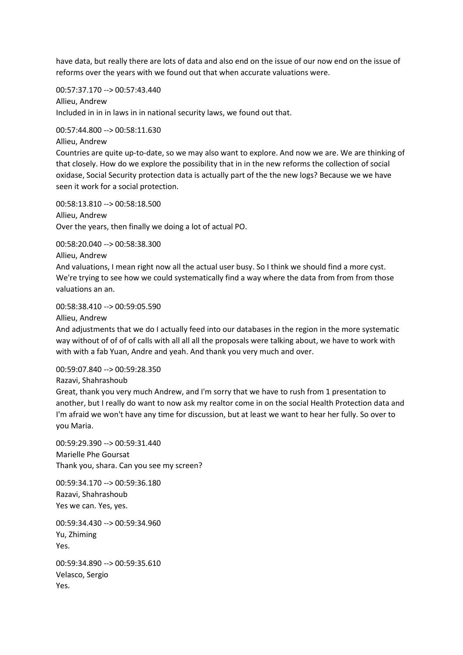have data, but really there are lots of data and also end on the issue of our now end on the issue of reforms over the years with we found out that when accurate valuations were.

00:57:37.170 --> 00:57:43.440

Allieu, Andrew Included in in in laws in in national security laws, we found out that.

00:57:44.800 --> 00:58:11.630

Allieu, Andrew

Countries are quite up-to-date, so we may also want to explore. And now we are. We are thinking of that closely. How do we explore the possibility that in in the new reforms the collection of social oxidase, Social Security protection data is actually part of the the new logs? Because we we have seen it work for a social protection.

00:58:13.810 --> 00:58:18.500 Allieu, Andrew Over the years, then finally we doing a lot of actual PO.

00:58:20.040 --> 00:58:38.300

Allieu, Andrew

And valuations, I mean right now all the actual user busy. So I think we should find a more cyst. We're trying to see how we could systematically find a way where the data from from from those valuations an an.

00:58:38.410 --> 00:59:05.590

Allieu, Andrew

And adjustments that we do I actually feed into our databases in the region in the more systematic way without of of of of calls with all all all the proposals were talking about, we have to work with with with a fab Yuan, Andre and yeah. And thank you very much and over.

00:59:07.840 --> 00:59:28.350

Razavi, Shahrashoub

Great, thank you very much Andrew, and I'm sorry that we have to rush from 1 presentation to another, but I really do want to now ask my realtor come in on the social Health Protection data and I'm afraid we won't have any time for discussion, but at least we want to hear her fully. So over to you Maria.

00:59:29.390 --> 00:59:31.440 Marielle Phe Goursat Thank you, shara. Can you see my screen?

00:59:34.170 --> 00:59:36.180 Razavi, Shahrashoub Yes we can. Yes, yes.

00:59:34.430 --> 00:59:34.960 Yu, Zhiming Yes.

00:59:34.890 --> 00:59:35.610 Velasco, Sergio Yes.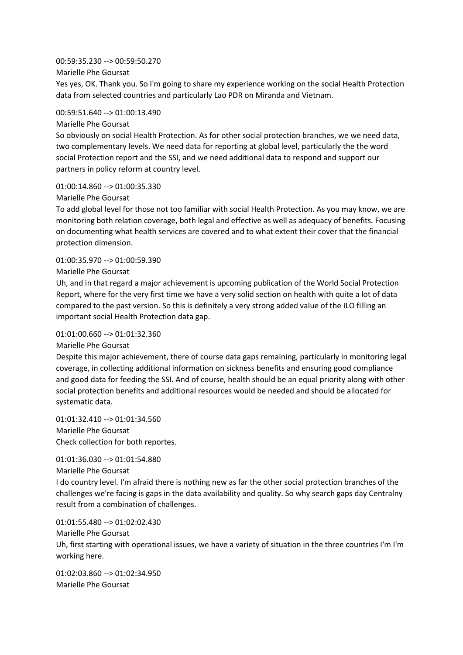## 00:59:35.230 --> 00:59:50.270

Marielle Phe Goursat

Yes yes, OK. Thank you. So I'm going to share my experience working on the social Health Protection data from selected countries and particularly Lao PDR on Miranda and Vietnam.

## 00:59:51.640 --> 01:00:13.490

## Marielle Phe Goursat

So obviously on social Health Protection. As for other social protection branches, we we need data, two complementary levels. We need data for reporting at global level, particularly the the word social Protection report and the SSI, and we need additional data to respond and support our partners in policy reform at country level.

## 01:00:14.860 --> 01:00:35.330

## Marielle Phe Goursat

To add global level for those not too familiar with social Health Protection. As you may know, we are monitoring both relation coverage, both legal and effective as well as adequacy of benefits. Focusing on documenting what health services are covered and to what extent their cover that the financial protection dimension.

## 01:00:35.970 --> 01:00:59.390

## Marielle Phe Goursat

Uh, and in that regard a major achievement is upcoming publication of the World Social Protection Report, where for the very first time we have a very solid section on health with quite a lot of data compared to the past version. So this is definitely a very strong added value of the ILO filling an important social Health Protection data gap.

## 01:01:00.660 --> 01:01:32.360

#### Marielle Phe Goursat

Despite this major achievement, there of course data gaps remaining, particularly in monitoring legal coverage, in collecting additional information on sickness benefits and ensuring good compliance and good data for feeding the SSI. And of course, health should be an equal priority along with other social protection benefits and additional resources would be needed and should be allocated for systematic data.

01:01:32.410 --> 01:01:34.560 Marielle Phe Goursat Check collection for both reportes.

## 01:01:36.030 --> 01:01:54.880

Marielle Phe Goursat

I do country level. I'm afraid there is nothing new as far the other social protection branches of the challenges we're facing is gaps in the data availability and quality. So why search gaps day Centralny result from a combination of challenges.

01:01:55.480 --> 01:02:02.430 Marielle Phe Goursat Uh, first starting with operational issues, we have a variety of situation in the three countries I'm I'm working here.

01:02:03.860 --> 01:02:34.950 Marielle Phe Goursat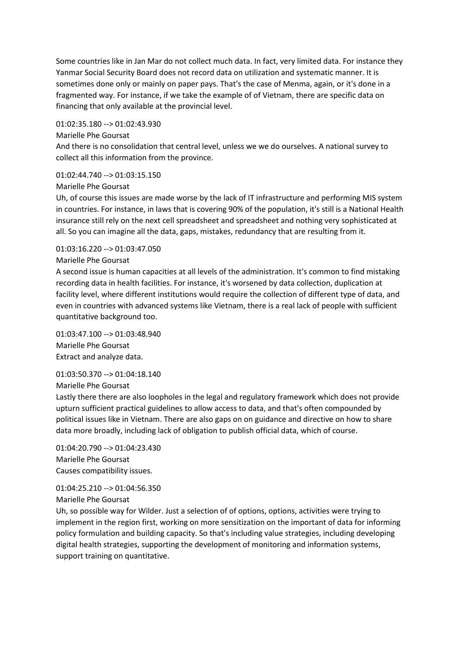Some countries like in Jan Mar do not collect much data. In fact, very limited data. For instance they Yanmar Social Security Board does not record data on utilization and systematic manner. It is sometimes done only or mainly on paper pays. That's the case of Menma, again, or it's done in a fragmented way. For instance, if we take the example of of Vietnam, there are specific data on financing that only available at the provincial level.

## 01:02:35.180 --> 01:02:43.930

## Marielle Phe Goursat

And there is no consolidation that central level, unless we we do ourselves. A national survey to collect all this information from the province.

# 01:02:44.740 --> 01:03:15.150

#### Marielle Phe Goursat

Uh, of course this issues are made worse by the lack of IT infrastructure and performing MIS system in countries. For instance, in laws that is covering 90% of the population, it's still is a National Health insurance still rely on the next cell spreadsheet and spreadsheet and nothing very sophisticated at all. So you can imagine all the data, gaps, mistakes, redundancy that are resulting from it.

## 01:03:16.220 --> 01:03:47.050

## Marielle Phe Goursat

A second issue is human capacities at all levels of the administration. It's common to find mistaking recording data in health facilities. For instance, it's worsened by data collection, duplication at facility level, where different institutions would require the collection of different type of data, and even in countries with advanced systems like Vietnam, there is a real lack of people with sufficient quantitative background too.

01:03:47.100 --> 01:03:48.940 Marielle Phe Goursat Extract and analyze data.

01:03:50.370 --> 01:04:18.140

Marielle Phe Goursat

Lastly there there are also loopholes in the legal and regulatory framework which does not provide upturn sufficient practical guidelines to allow access to data, and that's often compounded by political issues like in Vietnam. There are also gaps on on guidance and directive on how to share data more broadly, including lack of obligation to publish official data, which of course.

01:04:20.790 --> 01:04:23.430 Marielle Phe Goursat Causes compatibility issues.

01:04:25.210 --> 01:04:56.350 Marielle Phe Goursat

Uh, so possible way for Wilder. Just a selection of of options, options, activities were trying to implement in the region first, working on more sensitization on the important of data for informing policy formulation and building capacity. So that's including value strategies, including developing digital health strategies, supporting the development of monitoring and information systems, support training on quantitative.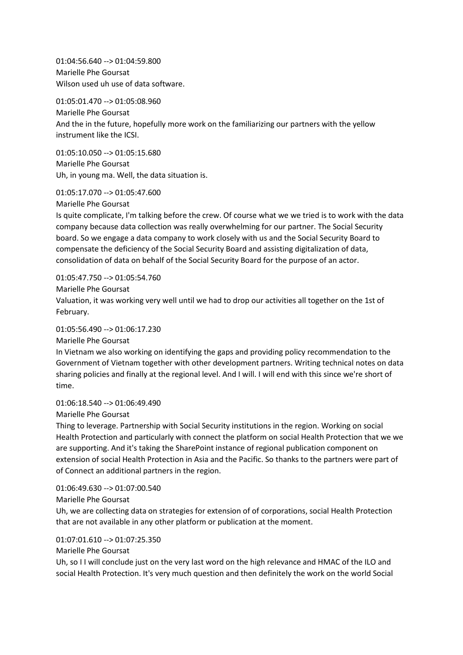01:04:56.640 --> 01:04:59.800 Marielle Phe Goursat Wilson used uh use of data software.

01:05:01.470 --> 01:05:08.960 Marielle Phe Goursat And the in the future, hopefully more work on the familiarizing our partners with the yellow instrument like the ICSI.

01:05:10.050 --> 01:05:15.680 Marielle Phe Goursat Uh, in young ma. Well, the data situation is.

01:05:17.070 --> 01:05:47.600

Marielle Phe Goursat

Is quite complicate, I'm talking before the crew. Of course what we we tried is to work with the data company because data collection was really overwhelming for our partner. The Social Security board. So we engage a data company to work closely with us and the Social Security Board to compensate the deficiency of the Social Security Board and assisting digitalization of data, consolidation of data on behalf of the Social Security Board for the purpose of an actor.

01:05:47.750 --> 01:05:54.760

Marielle Phe Goursat

Valuation, it was working very well until we had to drop our activities all together on the 1st of February.

01:05:56.490 --> 01:06:17.230

Marielle Phe Goursat

In Vietnam we also working on identifying the gaps and providing policy recommendation to the Government of Vietnam together with other development partners. Writing technical notes on data sharing policies and finally at the regional level. And I will. I will end with this since we're short of time.

01:06:18.540 --> 01:06:49.490

Marielle Phe Goursat

Thing to leverage. Partnership with Social Security institutions in the region. Working on social Health Protection and particularly with connect the platform on social Health Protection that we we are supporting. And it's taking the SharePoint instance of regional publication component on extension of social Health Protection in Asia and the Pacific. So thanks to the partners were part of of Connect an additional partners in the region.

01:06:49.630 --> 01:07:00.540

Marielle Phe Goursat

Uh, we are collecting data on strategies for extension of of corporations, social Health Protection that are not available in any other platform or publication at the moment.

01:07:01.610 --> 01:07:25.350

Marielle Phe Goursat

Uh, so I I will conclude just on the very last word on the high relevance and HMAC of the ILO and social Health Protection. It's very much question and then definitely the work on the world Social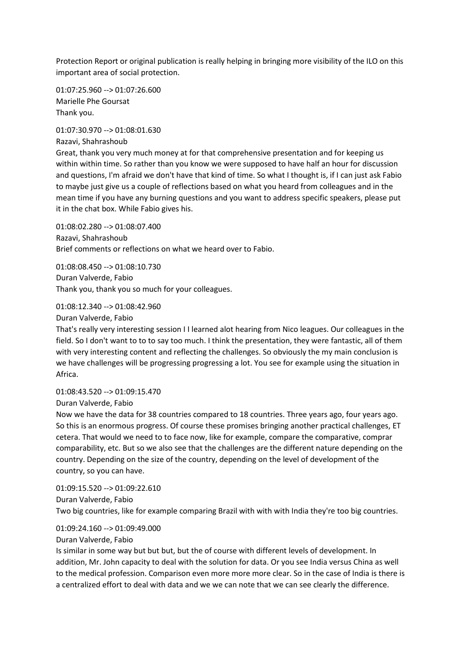Protection Report or original publication is really helping in bringing more visibility of the ILO on this important area of social protection.

01:07:25.960 --> 01:07:26.600 Marielle Phe Goursat Thank you.

01:07:30.970 --> 01:08:01.630 Razavi, Shahrashoub

Great, thank you very much money at for that comprehensive presentation and for keeping us within within time. So rather than you know we were supposed to have half an hour for discussion and questions, I'm afraid we don't have that kind of time. So what I thought is, if I can just ask Fabio to maybe just give us a couple of reflections based on what you heard from colleagues and in the mean time if you have any burning questions and you want to address specific speakers, please put it in the chat box. While Fabio gives his.

01:08:02.280 --> 01:08:07.400 Razavi, Shahrashoub Brief comments or reflections on what we heard over to Fabio.

01:08:08.450 --> 01:08:10.730 Duran Valverde, Fabio Thank you, thank you so much for your colleagues.

01:08:12.340 --> 01:08:42.960

Duran Valverde, Fabio

That's really very interesting session I I learned alot hearing from Nico leagues. Our colleagues in the field. So I don't want to to to say too much. I think the presentation, they were fantastic, all of them with very interesting content and reflecting the challenges. So obviously the my main conclusion is we have challenges will be progressing progressing a lot. You see for example using the situation in Africa.

01:08:43.520 --> 01:09:15.470

Duran Valverde, Fabio

Now we have the data for 38 countries compared to 18 countries. Three years ago, four years ago. So this is an enormous progress. Of course these promises bringing another practical challenges, ET cetera. That would we need to to face now, like for example, compare the comparative, comprar comparability, etc. But so we also see that the challenges are the different nature depending on the country. Depending on the size of the country, depending on the level of development of the country, so you can have.

01:09:15.520 --> 01:09:22.610 Duran Valverde, Fabio Two big countries, like for example comparing Brazil with with with India they're too big countries.

01:09:24.160 --> 01:09:49.000

Duran Valverde, Fabio

Is similar in some way but but but, but the of course with different levels of development. In addition, Mr. John capacity to deal with the solution for data. Or you see India versus China as well to the medical profession. Comparison even more more more clear. So in the case of India is there is a centralized effort to deal with data and we we can note that we can see clearly the difference.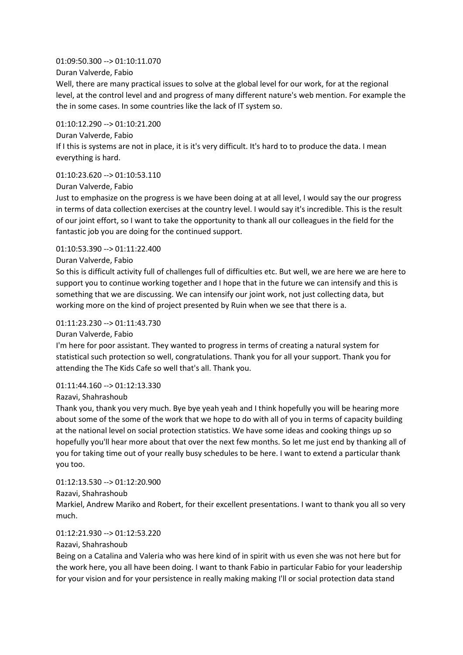## 01:09:50.300 --> 01:10:11.070

Duran Valverde, Fabio

Well, there are many practical issues to solve at the global level for our work, for at the regional level, at the control level and and progress of many different nature's web mention. For example the the in some cases. In some countries like the lack of IT system so.

# 01:10:12.290 --> 01:10:21.200

Duran Valverde, Fabio If I this is systems are not in place, it is it's very difficult. It's hard to to produce the data. I mean everything is hard.

# $01:10:23.620 \rightarrow 01:10:53.110$

Duran Valverde, Fabio

Just to emphasize on the progress is we have been doing at at all level, I would say the our progress in terms of data collection exercises at the country level. I would say it's incredible. This is the result of our joint effort, so I want to take the opportunity to thank all our colleagues in the field for the fantastic job you are doing for the continued support.

# 01:10:53.390 --> 01:11:22.400

# Duran Valverde, Fabio

So this is difficult activity full of challenges full of difficulties etc. But well, we are here we are here to support you to continue working together and I hope that in the future we can intensify and this is something that we are discussing. We can intensify our joint work, not just collecting data, but working more on the kind of project presented by Ruin when we see that there is a.

# 01:11:23.230 --> 01:11:43.730

## Duran Valverde, Fabio

I'm here for poor assistant. They wanted to progress in terms of creating a natural system for statistical such protection so well, congratulations. Thank you for all your support. Thank you for attending the The Kids Cafe so well that's all. Thank you.

# 01:11:44.160 --> 01:12:13.330

## Razavi, Shahrashoub

Thank you, thank you very much. Bye bye yeah yeah and I think hopefully you will be hearing more about some of the some of the work that we hope to do with all of you in terms of capacity building at the national level on social protection statistics. We have some ideas and cooking things up so hopefully you'll hear more about that over the next few months. So let me just end by thanking all of you for taking time out of your really busy schedules to be here. I want to extend a particular thank you too.

## 01:12:13.530 --> 01:12:20.900

# Razavi, Shahrashoub

Markiel, Andrew Mariko and Robert, for their excellent presentations. I want to thank you all so very much.

# 01:12:21.930 --> 01:12:53.220

# Razavi, Shahrashoub

Being on a Catalina and Valeria who was here kind of in spirit with us even she was not here but for the work here, you all have been doing. I want to thank Fabio in particular Fabio for your leadership for your vision and for your persistence in really making making I'll or social protection data stand